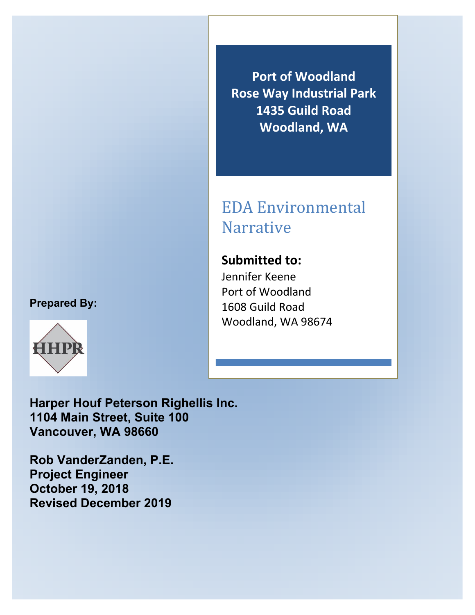### **Prepared By:**



**Port of Woodland Rose Way Industrial Park 1435 Guild Road Woodland, WA**

## EDA Environmental Narrative

**Submitted to:** Jennifer Keene Port of Woodland 1608 Guild Road Woodland, WA 98674

**Harper Houf Peterson Righellis Inc. 1104 Main Street, Suite 100 Vancouver, WA 98660**

**Rob VanderZanden, P.E. Project Engineer October 19, 2018 Revised December 2019**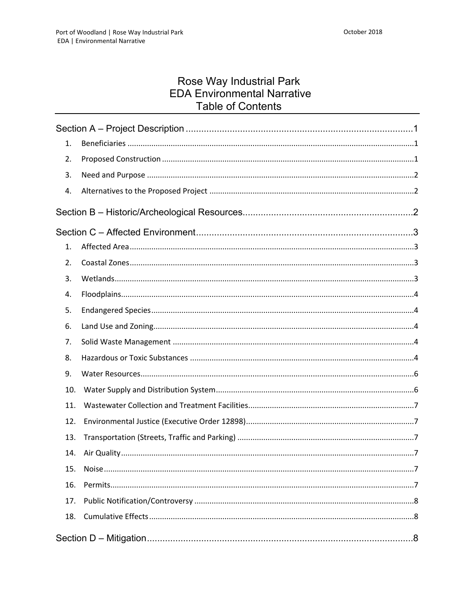# Rose Way Industrial Park<br>EDA Environmental Narrative **Table of Contents**

| 1.  |               |  |
|-----|---------------|--|
| 2.  |               |  |
| 3.  |               |  |
| 4.  |               |  |
|     |               |  |
|     |               |  |
| 1.  |               |  |
| 2.  |               |  |
| 3.  |               |  |
| 4.  |               |  |
| 5.  |               |  |
| 6.  |               |  |
| 7.  |               |  |
| 8.  |               |  |
| 9.  |               |  |
| 10. |               |  |
| 11. |               |  |
| 12. |               |  |
| 13. |               |  |
| 14. |               |  |
| 15. | Noise.<br>. 7 |  |
| 16. |               |  |
| 17. |               |  |
| 18. |               |  |
|     |               |  |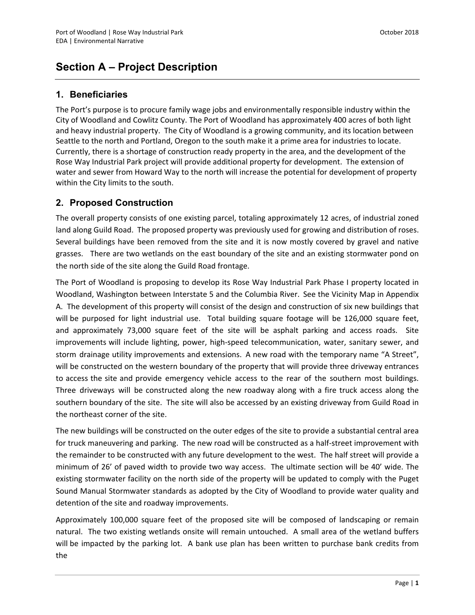## <span id="page-3-0"></span>**Section A – Project Description**

#### <span id="page-3-1"></span>**1. Beneficiaries**

<span id="page-3-2"></span>The Port's purpose is to procure family wage jobs and environmentally responsible industry within the City of Woodland and Cowlitz County. The Port of Woodland has approximately 400 acres of both light and heavy industrial property. The City of Woodland is a growing community, and its location between Seattle to the north and Portland, Oregon to the south make it a prime area for industries to locate. Currently, there is a shortage of construction ready property in the area, and the development of the Rose Way Industrial Park project will provide additional property for development. The extension of water and sewer from Howard Way to the north will increase the potential for development of property within the City limits to the south.

#### **2. Proposed Construction**

The overall property consists of one existing parcel, totaling approximately 12 acres, of industrial zoned land along Guild Road. The proposed property was previously used for growing and distribution of roses. Several buildings have been removed from the site and it is now mostly covered by gravel and native grasses. There are two wetlands on the east boundary of the site and an existing stormwater pond on the north side of the site along the Guild Road frontage.

The Port of Woodland is proposing to develop its Rose Way Industrial Park Phase I property located in Woodland, Washington between Interstate 5 and the Columbia River. See the Vicinity Map in Appendix A. The development of this property will consist of the design and construction of six new buildings that will be purposed for light industrial use. Total building square footage will be 126,000 square feet, and approximately 73,000 square feet of the site will be asphalt parking and access roads. Site improvements will include lighting, power, high-speed telecommunication, water, sanitary sewer, and storm drainage utility improvements and extensions. A new road with the temporary name "A Street", will be constructed on the western boundary of the property that will provide three driveway entrances to access the site and provide emergency vehicle access to the rear of the southern most buildings. Three driveways will be constructed along the new roadway along with a fire truck access along the southern boundary of the site. The site will also be accessed by an existing driveway from Guild Road in the northeast corner of the site.

The new buildings will be constructed on the outer edges of the site to provide a substantial central area for truck maneuvering and parking. The new road will be constructed as a half-street improvement with the remainder to be constructed with any future development to the west. The half street will provide a minimum of 26' of paved width to provide two way access. The ultimate section will be 40' wide. The existing stormwater facility on the north side of the property will be updated to comply with the Puget Sound Manual Stormwater standards as adopted by the City of Woodland to provide water quality and detention of the site and roadway improvements.

Approximately 100,000 square feet of the proposed site will be composed of landscaping or remain natural. The two existing wetlands onsite will remain untouched. A small area of the wetland buffers will be impacted by the parking lot. A bank use plan has been written to purchase bank credits from the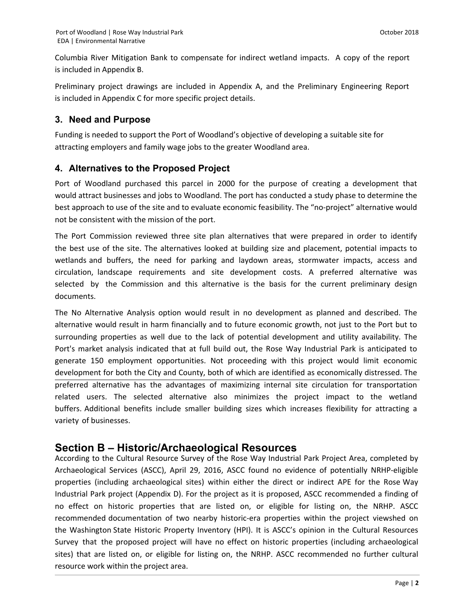Columbia River Mitigation Bank to compensate for indirect wetland impacts. A copy of the report is included in Appendix B.

Preliminary project drawings are included in Appendix A, and the Preliminary Engineering Report is included in Appendix C for more specific project details.

#### <span id="page-4-0"></span>**3. Need and Purpose**

Funding is needed to support the Port of Woodland's objective of developing a suitable site for attracting employers and family wage jobs to the greater Woodland area.

#### <span id="page-4-1"></span>**4. Alternatives to the Proposed Project**

Port of Woodland purchased this parcel in 2000 for the purpose of creating a development that would attract businesses and jobs to Woodland. The port has conducted a study phase to determine the best approach to use of the site and to evaluate economic feasibility. The "no-project" alternative would not be consistent with the mission of the port.

The Port Commission reviewed three site plan alternatives that were prepared in order to identify the best use of the site. The alternatives looked at building size and placement, potential impacts to wetlands and buffers, the need for parking and laydown areas, stormwater impacts, access and circulation, landscape requirements and site development costs. A preferred alternative was selected by the Commission and this alternative is the basis for the current preliminary design documents.

<span id="page-4-2"></span>The No Alternative Analysis option would result in no development as planned and described. The alternative would result in harm financially and to future economic growth, not just to the Port but to surrounding properties as well due to the lack of potential development and utility availability. The Port's market analysis indicated that at full build out, the Rose Way Industrial Park is anticipated to generate 150 employment opportunities. Not proceeding with this project would limit economic development for both the City and County, both of which are identified as economically distressed. The preferred alternative has the advantages of maximizing internal site circulation for transportation related users. The selected alternative also minimizes the project impact to the wetland buffers. Additional benefits include smaller building sizes which increases flexibility for attracting a variety of businesses.

#### **Section B – Historic/Archaeological Resources**

According to the Cultural Resource Survey of the Rose Way Industrial Park Project Area, completed by Archaeological Services (ASCC), April 29, 2016, ASCC found no evidence of potentially NRHP-eligible properties (including archaeological sites) within either the direct or indirect APE for the Rose Way Industrial Park project (Appendix D). For the project as it is proposed, ASCC recommended a finding of no effect on historic properties that are listed on, or eligible for listing on, the NRHP. ASCC recommended documentation of two nearby historic-era properties within the project viewshed on the Washington State Historic Property Inventory (HPI). It is ASCC's opinion in the Cultural Resources Survey that the proposed project will have no effect on historic properties (including archaeological sites) that are listed on, or eligible for listing on, the NRHP. ASCC recommended no further cultural resource work within the project area.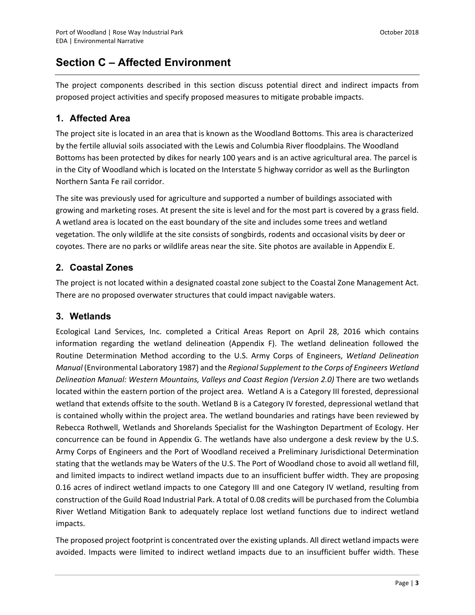## <span id="page-5-0"></span>**Section C – Affected Environment**

The project components described in this section discuss potential direct and indirect impacts from proposed project activities and specify proposed measures to mitigate probable impacts.

#### <span id="page-5-1"></span>**1. Affected Area**

The project site is located in an area that is known as the Woodland Bottoms. This area is characterized by the fertile alluvial soils associated with the Lewis and Columbia River floodplains. The Woodland Bottoms has been protected by dikes for nearly 100 years and is an active agricultural area. The parcel is in the City of Woodland which is located on the Interstate 5 highway corridor as well as the Burlington Northern Santa Fe rail corridor.

The site was previously used for agriculture and supported a number of buildings associated with growing and marketing roses. At present the site is level and for the most part is covered by a grass field. A wetland area is located on the east boundary of the site and includes some trees and wetland vegetation. The only wildlife at the site consists of songbirds, rodents and occasional visits by deer or coyotes. There are no parks or wildlife areas near the site. Site photos are available in Appendix E.

#### <span id="page-5-2"></span>**2. Coastal Zones**

The project is not located within a designated coastal zone subject to the Coastal Zone Management Act. There are no proposed overwater structures that could impact navigable waters.

#### <span id="page-5-3"></span>**3. Wetlands**

Ecological Land Services, Inc. completed a Critical Areas Report on April 28, 2016 which contains information regarding the wetland delineation (Appendix F). The wetland delineation followed the Routine Determination Method according to the U.S. Army Corps of Engineers, *Wetland Delineation Manual* (Environmental Laboratory 1987) and the *Regional Supplement to the Corps of Engineers Wetland Delineation Manual: Western Mountains, Valleys and Coast Region (Version 2.0)* There are two wetlands located within the eastern portion of the project area. Wetland A is a Category III forested, depressional wetland that extends offsite to the south. Wetland B is a Category IV forested, depressional wetland that is contained wholly within the project area. The wetland boundaries and ratings have been reviewed by Rebecca Rothwell, Wetlands and Shorelands Specialist for the Washington Department of Ecology. Her concurrence can be found in Appendix G. The wetlands have also undergone a desk review by the U.S. Army Corps of Engineers and the Port of Woodland received a Preliminary Jurisdictional Determination stating that the wetlands may be Waters of the U.S. The Port of Woodland chose to avoid all wetland fill, and limited impacts to indirect wetland impacts due to an insufficient buffer width. They are proposing 0.16 acres of indirect wetland impacts to one Category III and one Category IV wetland, resulting from construction of the Guild Road Industrial Park. A total of 0.08 credits will be purchased from the Columbia River Wetland Mitigation Bank to adequately replace lost wetland functions due to indirect wetland impacts.

The proposed project footprint is concentrated over the existing uplands. All direct wetland impacts were avoided. Impacts were limited to indirect wetland impacts due to an insufficient buffer width. These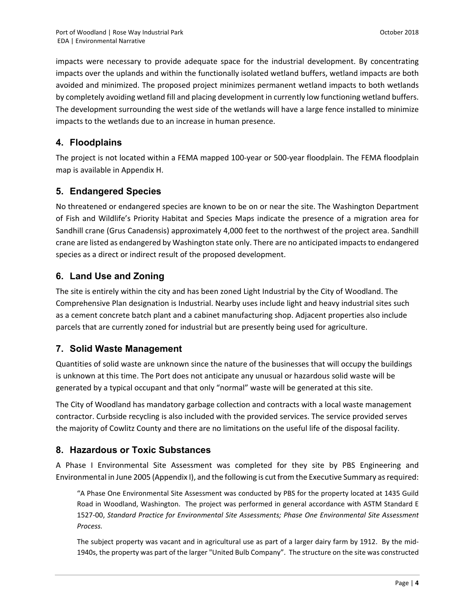impacts were necessary to provide adequate space for the industrial development. By concentrating impacts over the uplands and within the functionally isolated wetland buffers, wetland impacts are both avoided and minimized. The proposed project minimizes permanent wetland impacts to both wetlands by completely avoiding wetland fill and placing development in currently low functioning wetland buffers. The development surrounding the west side of the wetlands will have a large fence installed to minimize impacts to the wetlands due to an increase in human presence.

#### <span id="page-6-0"></span>**4. Floodplains**

The project is not located within a FEMA mapped 100-year or 500-year floodplain. The FEMA floodplain map is available in Appendix H.

#### <span id="page-6-1"></span>**5. Endangered Species**

No threatened or endangered species are known to be on or near the site. The Washington Department of Fish and Wildlife's Priority Habitat and Species Maps indicate the presence of a migration area for Sandhill crane (Grus Canadensis) approximately 4,000 feet to the northwest of the project area. Sandhill crane are listed as endangered by Washington state only. There are no anticipated impacts to endangered species as a direct or indirect result of the proposed development.

#### <span id="page-6-2"></span>**6. Land Use and Zoning**

The site is entirely within the city and has been zoned Light Industrial by the City of Woodland. The Comprehensive Plan designation is Industrial. Nearby uses include light and heavy industrial sites such as a cement concrete batch plant and a cabinet manufacturing shop. Adjacent properties also include parcels that are currently zoned for industrial but are presently being used for agriculture.

#### <span id="page-6-3"></span>**7. Solid Waste Management**

Quantities of solid waste are unknown since the nature of the businesses that will occupy the buildings is unknown at this time. The Port does not anticipate any unusual or hazardous solid waste will be generated by a typical occupant and that only "normal" waste will be generated at this site.

The City of Woodland has mandatory garbage collection and contracts with a local waste management contractor. Curbside recycling is also included with the provided services. The service provided serves the majority of Cowlitz County and there are no limitations on the useful life of the disposal facility.

#### <span id="page-6-4"></span>**8. Hazardous or Toxic Substances**

A Phase I Environmental Site Assessment was completed for they site by PBS Engineering and Environmental in June 2005 (Appendix I), and the following is cut from the Executive Summary as required:

"A Phase One Environmental Site Assessment was conducted by PBS for the property located at 1435 Guild Road in Woodland, Washington. The project was performed in general accordance with ASTM Standard E 1527-00, *Standard Practice for Environmental Site Assessments; Phase One Environmental Site Assessment Process.*

The subject property was vacant and in agricultural use as part of a larger dairy farm by 1912. By the mid-1940s, the property was part of the larger "United Bulb Company". The structure on the site was constructed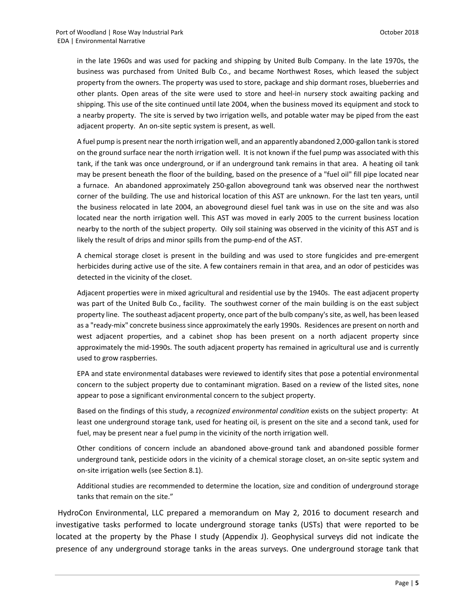in the late 1960s and was used for packing and shipping by United Bulb Company. In the late 1970s, the business was purchased from United Bulb Co., and became Northwest Roses, which leased the subject property from the owners. The property was used to store, package and ship dormant roses, blueberries and other plants. Open areas of the site were used to store and heel-in nursery stock awaiting packing and shipping. This use of the site continued until late 2004, when the business moved its equipment and stock to a nearby property. The site is served by two irrigation wells, and potable water may be piped from the east adjacent property. An on-site septic system is present, as well.

A fuel pump is present near the north irrigation well, and an apparently abandoned 2,000-gallon tank is stored on the ground surface near the north irrigation well. It is not known if the fuel pump was associated with this tank, if the tank was once underground, or if an underground tank remains in that area. A heating oil tank may be present beneath the floor of the building, based on the presence of a "fuel oil" fill pipe located near a furnace. An abandoned approximately 250-gallon aboveground tank was observed near the northwest corner of the building. The use and historical location of this AST are unknown. For the last ten years, until the business relocated in late 2004, an aboveground diesel fuel tank was in use on the site and was also located near the north irrigation well. This AST was moved in early 2005 to the current business location nearby to the north of the subject property. Oily soil staining was observed in the vicinity of this AST and is likely the result of drips and minor spills from the pump-end of the AST.

A chemical storage closet is present in the building and was used to store fungicides and pre-emergent herbicides during active use of the site. A few containers remain in that area, and an odor of pesticides was detected in the vicinity of the closet.

Adjacent properties were in mixed agricultural and residential use by the 1940s. The east adjacent property was part of the United Bulb Co., facility. The southwest corner of the main building is on the east subject property line. The southeast adjacent property, once part of the bulb company's site, as well, has been leased as a "ready-mix" concrete business since approximately the early 1990s. Residences are present on north and west adjacent properties, and a cabinet shop has been present on a north adjacent property since approximately the mid-1990s. The south adjacent property has remained in agricultural use and is currently used to grow raspberries.

EPA and state environmental databases were reviewed to identify sites that pose a potential environmental concern to the subject property due to contaminant migration. Based on a review of the listed sites, none appear to pose a significant environmental concern to the subject property.

Based on the findings of this study, a *recognized environmental condition* exists on the subject property: At least one underground storage tank, used for heating oil, is present on the site and a second tank, used for fuel, may be present near a fuel pump in the vicinity of the north irrigation well.

Other conditions of concern include an abandoned above-ground tank and abandoned possible former underground tank, pesticide odors in the vicinity of a chemical storage closet, an on-site septic system and on-site irrigation wells (see Section 8.1).

Additional studies are recommended to determine the location, size and condition of underground storage tanks that remain on the site."

 HydroCon Environmental, LLC prepared a memorandum on May 2, 2016 to document research and investigative tasks performed to locate underground storage tanks (USTs) that were reported to be located at the property by the Phase I study (Appendix J). Geophysical surveys did not indicate the presence of any underground storage tanks in the areas surveys. One underground storage tank that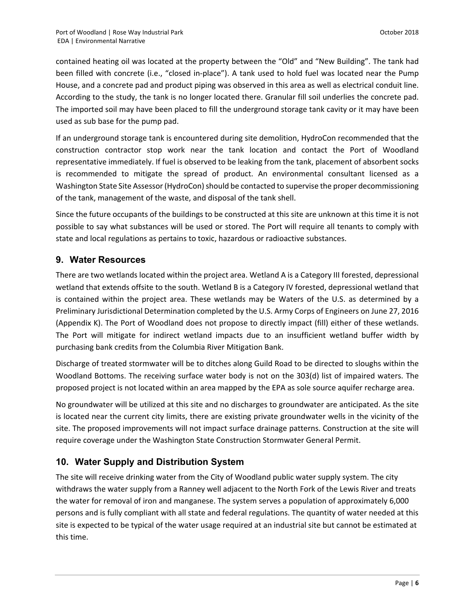contained heating oil was located at the property between the "Old" and "New Building". The tank had been filled with concrete (i.e., "closed in-place"). A tank used to hold fuel was located near the Pump House, and a concrete pad and product piping was observed in this area as well as electrical conduit line. According to the study, the tank is no longer located there. Granular fill soil underlies the concrete pad. The imported soil may have been placed to fill the underground storage tank cavity or it may have been used as sub base for the pump pad.

If an underground storage tank is encountered during site demolition, HydroCon recommended that the construction contractor stop work near the tank location and contact the Port of Woodland representative immediately. If fuel is observed to be leaking from the tank, placement of absorbent socks is recommended to mitigate the spread of product. An environmental consultant licensed as a Washington State Site Assessor (HydroCon) should be contacted to supervise the proper decommissioning of the tank, management of the waste, and disposal of the tank shell.

Since the future occupants of the buildings to be constructed at this site are unknown at this time it is not possible to say what substances will be used or stored. The Port will require all tenants to comply with state and local regulations as pertains to toxic, hazardous or radioactive substances.

#### <span id="page-8-0"></span>**9. Water Resources**

There are two wetlands located within the project area. Wetland A is a Category III forested, depressional wetland that extends offsite to the south. Wetland B is a Category IV forested, depressional wetland that is contained within the project area. These wetlands may be Waters of the U.S. as determined by a Preliminary Jurisdictional Determination completed by the U.S. Army Corps of Engineers on June 27, 2016 (Appendix K). The Port of Woodland does not propose to directly impact (fill) either of these wetlands. The Port will mitigate for indirect wetland impacts due to an insufficient wetland buffer width by purchasing bank credits from the Columbia River Mitigation Bank.

Discharge of treated stormwater will be to ditches along Guild Road to be directed to sloughs within the Woodland Bottoms. The receiving surface water body is not on the 303(d) list of impaired waters. The proposed project is not located within an area mapped by the EPA as sole source aquifer recharge area.

No groundwater will be utilized at this site and no discharges to groundwater are anticipated. As the site is located near the current city limits, there are existing private groundwater wells in the vicinity of the site. The proposed improvements will not impact surface drainage patterns. Construction at the site will require coverage under the Washington State Construction Stormwater General Permit.

#### <span id="page-8-1"></span>**10. Water Supply and Distribution System**

The site will receive drinking water from the City of Woodland public water supply system. The city withdraws the water supply from a Ranney well adjacent to the North Fork of the Lewis River and treats the water for removal of iron and manganese. The system serves a population of approximately 6,000 persons and is fully compliant with all state and federal regulations. The quantity of water needed at this site is expected to be typical of the water usage required at an industrial site but cannot be estimated at this time.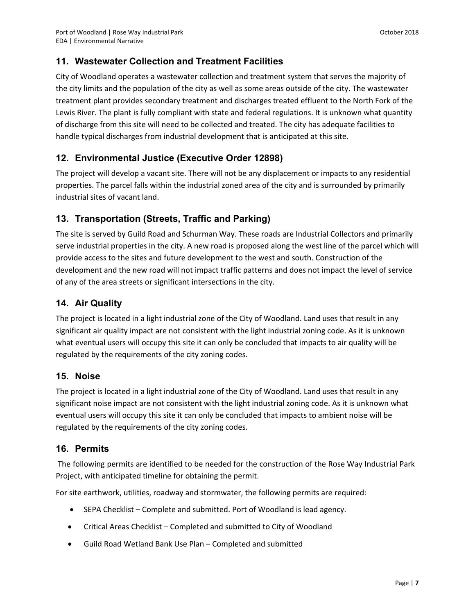#### <span id="page-9-0"></span>**11. Wastewater Collection and Treatment Facilities**

City of Woodland operates a wastewater collection and treatment system that serves the majority of the city limits and the population of the city as well as some areas outside of the city. The wastewater treatment plant provides secondary treatment and discharges treated effluent to the North Fork of the Lewis River. The plant is fully compliant with state and federal regulations. It is unknown what quantity of discharge from this site will need to be collected and treated. The city has adequate facilities to handle typical discharges from industrial development that is anticipated at this site.

#### <span id="page-9-1"></span>**12. Environmental Justice (Executive Order 12898)**

The project will develop a vacant site. There will not be any displacement or impacts to any residential properties. The parcel falls within the industrial zoned area of the city and is surrounded by primarily industrial sites of vacant land.

#### <span id="page-9-2"></span>**13. Transportation (Streets, Traffic and Parking)**

The site is served by Guild Road and Schurman Way. These roads are Industrial Collectors and primarily serve industrial properties in the city. A new road is proposed along the west line of the parcel which will provide access to the sites and future development to the west and south. Construction of the development and the new road will not impact traffic patterns and does not impact the level of service of any of the area streets or significant intersections in the city.

#### <span id="page-9-3"></span>**14. Air Quality**

The project is located in a light industrial zone of the City of Woodland. Land uses that result in any significant air quality impact are not consistent with the light industrial zoning code. As it is unknown what eventual users will occupy this site it can only be concluded that impacts to air quality will be regulated by the requirements of the city zoning codes.

#### <span id="page-9-4"></span>**15. Noise**

The project is located in a light industrial zone of the City of Woodland. Land uses that result in any significant noise impact are not consistent with the light industrial zoning code. As it is unknown what eventual users will occupy this site it can only be concluded that impacts to ambient noise will be regulated by the requirements of the city zoning codes.

#### <span id="page-9-5"></span>**16. Permits**

 The following permits are identified to be needed for the construction of the Rose Way Industrial Park Project, with anticipated timeline for obtaining the permit.

For site earthwork, utilities, roadway and stormwater, the following permits are required:

- SEPA Checklist Complete and submitted. Port of Woodland is lead agency.
- Critical Areas Checklist Completed and submitted to City of Woodland
- Guild Road Wetland Bank Use Plan Completed and submitted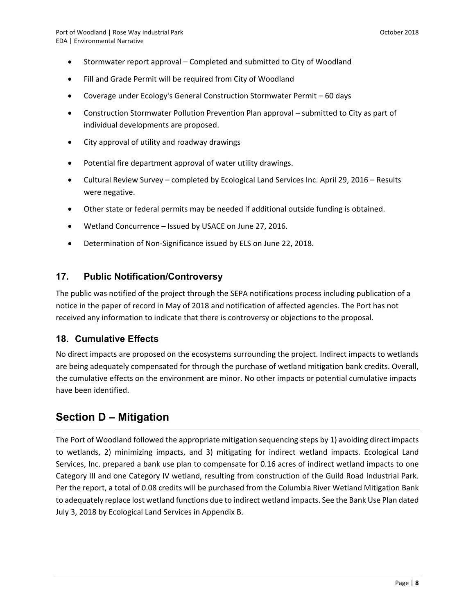- Stormwater report approval Completed and submitted to City of Woodland
- Fill and Grade Permit will be required from City of Woodland
- Coverage under Ecology's General Construction Stormwater Permit 60 days
- Construction Stormwater Pollution Prevention Plan approval submitted to City as part of individual developments are proposed.
- City approval of utility and roadway drawings
- Potential fire department approval of water utility drawings.
- Cultural Review Survey completed by Ecological Land Services Inc. April 29, 2016 Results were negative.
- Other state or federal permits may be needed if additional outside funding is obtained.
- Wetland Concurrence Issued by USACE on June 27, 2016.
- Determination of Non-Significance issued by ELS on June 22, 2018.

#### <span id="page-10-0"></span>**17. Public Notification/Controversy**

The public was notified of the project through the SEPA notifications process including publication of a notice in the paper of record in May of 2018 and notification of affected agencies. The Port has not received any information to indicate that there is controversy or objections to the proposal.

#### <span id="page-10-1"></span>**18. Cumulative Effects**

No direct impacts are proposed on the ecosystems surrounding the project. Indirect impacts to wetlands are being adequately compensated for through the purchase of wetland mitigation bank credits. Overall, the cumulative effects on the environment are minor. No other impacts or potential cumulative impacts have been identified.

### <span id="page-10-2"></span>**Section D – Mitigation**

The Port of Woodland followed the appropriate mitigation sequencing steps by 1) avoiding direct impacts to wetlands, 2) minimizing impacts, and 3) mitigating for indirect wetland impacts. Ecological Land Services, Inc. prepared a bank use plan to compensate for 0.16 acres of indirect wetland impacts to one Category III and one Category IV wetland, resulting from construction of the Guild Road Industrial Park. Per the report, a total of 0.08 credits will be purchased from the Columbia River Wetland Mitigation Bank to adequately replace lost wetland functions due to indirect wetland impacts. See the Bank Use Plan dated July 3, 2018 by Ecological Land Services in Appendix B.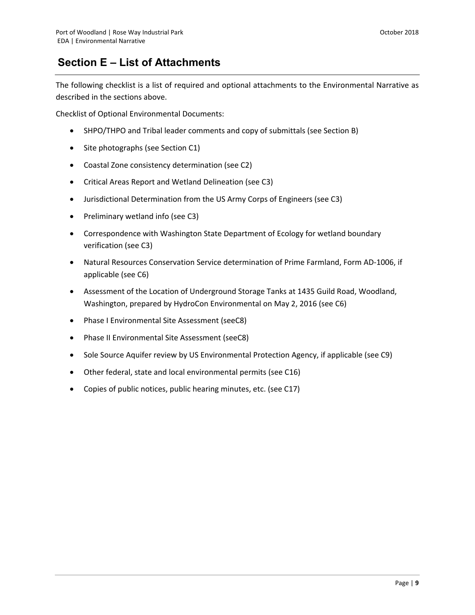## <span id="page-11-0"></span>**Section E – List of Attachments**

The following checklist is a list of required and optional attachments to the Environmental Narrative as described in the sections above.

Checklist of Optional Environmental Documents:

- SHPO/THPO and Tribal leader comments and copy of submittals (see Section B)
- Site photographs (see Section C1)
- Coastal Zone consistency determination (see C2)
- Critical Areas Report and Wetland Delineation (see C3)
- Jurisdictional Determination from the US Army Corps of Engineers (see C3)
- Preliminary wetland info (see C3)
- Correspondence with Washington State Department of Ecology for wetland boundary verification (see C3)
- Natural Resources Conservation Service determination of Prime Farmland, Form AD-1006, if applicable (see C6)
- Assessment of the Location of Underground Storage Tanks at 1435 Guild Road, Woodland, Washington, prepared by HydroCon Environmental on May 2, 2016 (see C6)
- Phase I Environmental Site Assessment (seeC8)
- Phase II Environmental Site Assessment (seeC8)
- Sole Source Aquifer review by US Environmental Protection Agency, if applicable (see C9)
- Other federal, state and local environmental permits (see C16)
- Copies of public notices, public hearing minutes, etc. (see C17)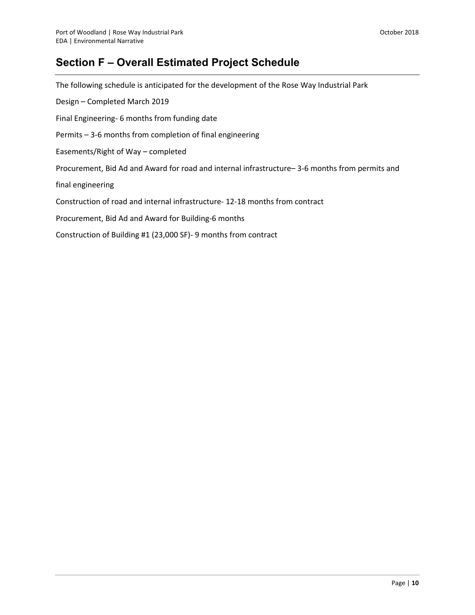## <span id="page-12-0"></span>**Section F – Overall Estimated Project Schedule**

The following schedule is anticipated for the development of the Rose Way Industrial Park Design – Completed March 2019 Final Engineering- 6 months from funding date Permits – 3-6 months from completion of final engineering Easements/Right of Way – completed Procurement, Bid Ad and Award for road and internal infrastructure– 3-6 months from permits and final engineering Construction of road and internal infrastructure- 12-18 months from contract Procurement, Bid Ad and Award for Building-6 months Construction of Building #1 (23,000 SF)- 9 months from contract